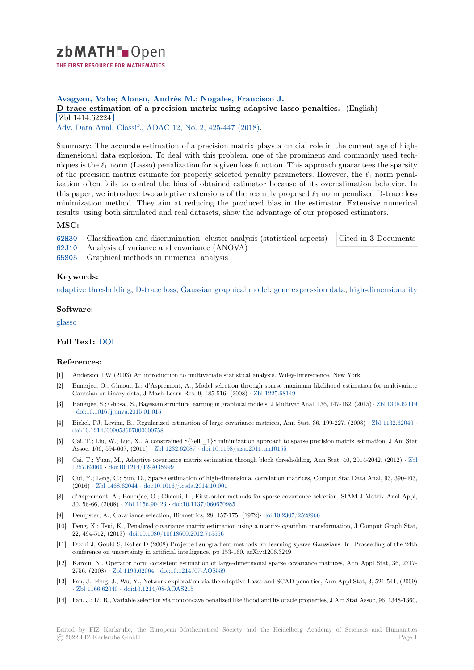

# **Avagyan, Vahe**; **Alonso, Andrés M.**; **Nogales, Francisco J.**

# **[D](https://zbmath.org/)-trace estimation of a precision matrix using adaptive lasso penalties.** (English) Zbl 1414.62224

✂ ✁ Adv. Data Anal. Classif., ADAC 12, No. 2, 425-447 (2018).

[Summary: The accurate estimation of a precision matrix plays a crucial role in th](https://zbmath.org/1414.62224)e current age of high[dimensional data](https://zbmath.org/1414.62224) explosion. To deal with this problem, one of the prominent and commonly used techniques is the  $\ell_1$  [norm \(Lasso\) pen](https://zbmath.org/journals/?q=se:4917)[alization for a given loss fu](https://zbmath.org/?q=in:411392)nction. This approach guarantees the sparsity of the precision matrix estimate for properly selected penalty parameters. However, the *ℓ*<sup>1</sup> norm penalization often fails to control the bias of obtained estimator because of its overestimation behavior. In this paper, we introduce two adaptive extensions of the recently proposed *ℓ*<sup>1</sup> norm penalized D-trace loss minimization method. They aim at reducing the produced bias in the estimator. Extensive numerical results, using both simulated and real datasets, show the advantage of our proposed estimators.

# **MSC:**

62H30 Classification and discrimination; cluster analysis (statistical aspects) Cited in **3** Documents

- 62J10 Analysis of variance and covariance (ANOVA)
- 65S05 Graphical methods in numerical analysis

# **[Keyw](https://zbmath.org/classification/?q=cc:62H30)ords:**

[adapti](https://zbmath.org/classification/?q=cc:62J10)ve thresholding; D-trace loss; Gaussian graphical model; gene expression data; high-dimensionality

### **Software:**

[glasso](https://zbmath.org/?q=ut:adaptive+thresholding)

# **Full Text:** DOI

# **[Refer](https://swmath.org/software/7432)ences:**

- [1] Anderson TW (2003) An introduction to multivariate statistical analysis. Wiley-Interscience, New York
- [2] Banerjee, [O.; G](https://dx.doi.org/10.1007/s11634-016-0272-8)haoui, L.; d'Aspremont, A., Model selection through sparse maximum likelihood estimation for multivariate Gaussian or binary data, J Mach Learn Res, 9, 485-516, (2008) *·* Zbl 1225.68149
- [3] Banerjee, S.; Ghosal, S., Bayesian structure learning in graphical models, J Multivar Anal, 136, 147-162, (2015) *·* Zbl 1308.62119 *·* doi:10.1016/j.jmva.2015.01.015
- [4] Bickel, PJ; Levina, E., Regularized estimation of large covariance matrices, Ann Stat, 36, 199-227, (2008) *·* Zbl 1132.62040 *·* doi:10.1214/009053607000000758
- [5] Cai, T.; Liu, W.; Luo, X., A constrained \${\ell \_1}\$ minimization approach to sparse precision matrix estima[tion, J Am Stat](https://zbmath.org/1308.62119) [Assoc, 106, 594-607, \(2011\)](https://dx.doi.org/10.1016/j.jmva.2015.01.015) *·* Zbl 1232.62087 *·* doi:10.1198/jasa.2011.tm10155
- [6] Cai, T.; Yuan, M., Adaptive covariance matrix estimation through block thresholding, Ann Stat, 40, 2014-2[042, \(2012\)](https://zbmath.org/1132.62040) *·* Zbl 1257.62060 *·* [doi:10.1214/12-AOS](https://dx.doi.org/10.1214/009053607000000758)999
- [7] Cui, Y.; Leng, C.; Sun, D., Sparse estimation of high-dimensional correlation matrices, Comput Stat Data Anal, 93, 390-403, (2016) *·* Zbl 1468.62044 *·* doi:[10.1016/j.csda.2](https://zbmath.org/1232.62087)0[14.10.001](https://dx.doi.org/10.1198/jasa.2011.tm10155)
- [8] d'Aspremont, A.; Banerjee, O.; Ghaoui, L., First-order methods for sparse covariance selection, SIAM J Matrix Anal A[ppl,](https://zbmath.org/1257.62060) [30, 56-66, \(](https://zbmath.org/1257.62060)2008) *·* [Zbl 1156.90423](https://dx.doi.org/10.1214/12-AOS999) *·* doi:10.1137/060670985
- [9] Dempster, A., Covariance selection, Biometrics, 28, 157-175, (1972)*·* doi:10.2307/2528966
- [10] Deng, X[.; Tsui, K., Pena](https://zbmath.org/1468.62044)l[ized covariance matrix estimati](https://dx.doi.org/10.1016/j.csda.2014.10.001)on using a matrix-logarithm transformation, J Comput Graph Stat, 22, 494-512, (2013)*·* doi:10.1080/10618600.2012.715556
- [11] Duchi J, Gould S, [Koller D \(2008\)](https://zbmath.org/1156.90423) [Projected subgradient m](https://dx.doi.org/10.1137/060670985)ethods for learning sparse Gaussians. In: Proceeding of the 24th conference on uncertainty in artificial intelligence, pp 153-160. arXiv[:1206.3249](https://dx.doi.org/10.2307/2528966)
- [12] Karoui, N., Operator norm consistent estimation of large-dimensional sparse covariance matrices, Ann Appl Stat, 36, 2717- 2756, (2008) *·* Zbl 1196.62064 *·* [doi:10.1214/07-AOS559](https://dx.doi.org/10.1080/10618600.2012.715556)
- [13] Fan, J.; Feng, J.; Wu, Y., Network exploration via the adaptive Lasso and SCAD penalties, Ann Appl Stat, 3, 521-541, (2009) *·* Zbl 1166.62040 *·* doi:10.1214/08-AOAS215
- [14] Fan, J.; Li, R., Variable selection via nonconcave penalized likelihood and its oracle properties, J Am Stat Assoc, 96, 1348-1360,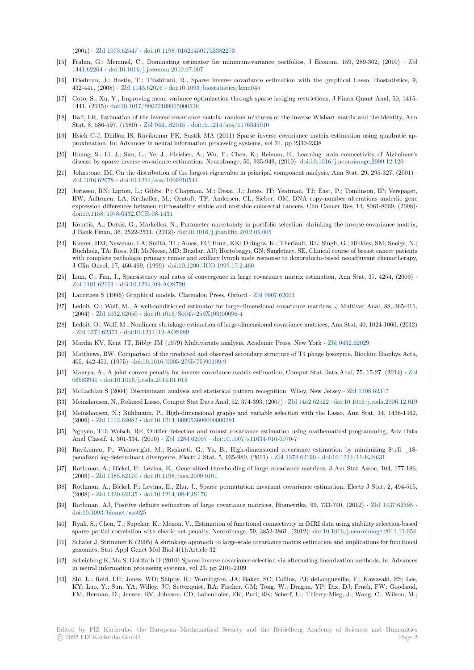(2001) *·* Zbl 1073.62547 *·* doi:10.1198/016214501753382273

- [15] Frahm, G.; Memmel, C., Dominating estimator for minimum-variance portfolios, J Econom, 159, 289-302, (2010) *·* Zbl 1441.62264 *·* doi:10.1016/j.jeconom.2010.07.007
- [16] Friedman, J.; Hastie, T.; Tibshirani, R., Sparse inverse covariance estimation with the graphical Lasso, Biostatistics, 9, 432-441, [\(2008\)](https://zbmath.org/1073.62547) *·* Zbl 1143.62076 *·* [doi:10.1093/biostatistics](https://dx.doi.org/10.1198/016214501753382273)/kxm045
- [17] Goto, S.; Xu, Y., Improving mean variance optimization through sparse hedging restrictions, J Finan Quant Anal, 50, 1[415-](https://zbmath.org/1441.62264) [1441, \(2015](https://zbmath.org/1441.62264))*·* [doi:10.1017/S0022109015000526](https://dx.doi.org/10.1016/j.jeconom.2010.07.007)
- [18] Haff, LR, Estimation of the inverse covariance matrix: random mixtures of the inverse Wishart matrix and the identity, Ann Stat, 8, 586-597, (1980) *·* [Zbl 044](https://zbmath.org/1143.62076)1.62045 *·* [doi:10.1214/aos/11763450](https://dx.doi.org/10.1093/biostatistics/kxm045)10
- [19] Hsieh C-J, Dhillon IS, Ravikumar PK, Sustik MA (2011) Sparse inverse covariance matrix estimation using quadratic approximation. [In: Advances in neural informati](https://dx.doi.org/10.1017/S0022109015000526)on processing systems, vol 24, pp 2330-2338
- [20] Huang, S.; Li, J.; Sun, L.; Ye, J.; Fleisher, A.; Wu, T.; Chen, K.; Reiman, E., Learning brain connectivity of Alzheimer's disease by sparse inverse [covariance estim](https://zbmath.org/0441.62045)[ation, NeuroImage, 50, 935-94](https://dx.doi.org/10.1214/aos/1176345010)9, (2010)*·* doi:10.1016/j.neuroimage.2009.12.120
- [21] Johnstone, IM, On the distribution of the largest eigenvalue in principal component analysis, Ann Stat, 29, 295-327, (2001) *·* Zbl 1016.62078 *·* doi:10.1214/aos/1009210544
- [22] Jorissen, RN; Lipton, L.; Gibbs, P.; Chapman, M.; Desai, J.; Jones, IT; Yeatman, TJ; East, P.; Tomlinson, IP; Verspaget, HW; Aaltonen, LA; Kruhøffer, M.; Orntoft, TF; Andersen, CL; Sieber, OM, D[NA copy-number alterations underlie](https://dx.doi.org/10.1016/j.neuroimage.2009.12.120) gene expression differences between microsatellite stable and unstable colorectal cancers, Clin Cancer Res, 14, 8061-8069, (2008)*·* doi:10.1158/1078-0432.CCR-08-1431
- [23] [Kourtis, A.; Do](https://zbmath.org/1016.62078)t[sis, G.; Markellos, N., Param](https://dx.doi.org/10.1214/aos/1009210544)eter uncertainty in portfolio selection: shrinking the inverse covariance matrix, J Bank Finan, 36, 2522-2531, (2012)*·* doi:10.1016/j.jbankfin.2012.05.005
- [24] Kuerer, HM; Newman, LA; Smith, TL; Ames, FC; Hunt, KK; Dhingra, K.; Theriault, RL; Singh, G.; Binkley, SM; Sneige, N.; [Buchholz, TA; Ross, MI; McNeese, M](https://dx.doi.org/10.1158/1078-0432.CCR-08-1431)D; Buzdar, AU; Hortobagyi, GN; Singletary, SE, Clinical course of breast cancer patients with complete pathologic primary tumor and axillary lymph node response to doxorubicin-based neoadjuvant chemotherapy, J Clin Oncol, 17, 460-469, (1999)*·* doi:10.1200/JCO.1999.17.2.460
- [25] Lam, C.; Fan, J., Sparsistency and r[ates of convergence in large covaria](https://dx.doi.org/10.1016/j.jbankfin.2012.05.005)nce matrix estimation, Ann Stat, 37, 4254, (2009) *·* Zbl 1191.62101 *·* doi:10.1214/09-AOS720
- [26] Lauritzen S (1996) Graphical models. Clarendon Press, Oxford *·* Zbl 0907.62001
- [27] Ledoit, O.; Wolf, M., A well-cond[itioned estimator for large-dime](https://dx.doi.org/10.1200/JCO.1999.17.2.460)nsional covariance matrices, J Multivar Anal, 88, 365-411, (2004) *·* Zbl 1032.62050 *·* doi:10.1016/S0047-259X(03)00096-4
- [28] [Ledoit, O.; Wol](https://zbmath.org/1191.62101)f, [M., Nonlinear shrinkage](https://dx.doi.org/10.1214/09-AOS720) estimation of large-dimensional covariance matrices, Ann Stat, 40, 1024-1060, (2012) *·* Zbl 1274.62371 *·* doi:10.1214/12-AOS989
- [29] Mardia KV, Kent JT, Bibby JM (1979) Multivariate analysis. Academic Press, New York *·* Zbl 0432.62029
- [30] Matthe[ws, BW, Compar](https://zbmath.org/1032.62050)i[son of the predicted and observed sec](https://dx.doi.org/10.1016/S0047-259X(03)00096-4)ondary structure of T4 phage lysozyme, Biochim Biophys Acta, 405, 442-451, (1975)*·* doi:10.1016/0005-2795(75)90109-9
- [31] [Maurya, A., A jo](https://zbmath.org/1274.62371)i[nt convex penalty for inv](https://dx.doi.org/10.1214/12-AOS989)erse covariance matrix estimation, Comput Stat Data Anal, 75, 15-27, (2014) *·* Zbl 06983941 *·* doi:10.1016/j.csda.2014.01.015
- [32] McLachlan S (2004) Discriminant analysis and statistical pattern recognition. Wiley, New Jersey *·* Zbl 1108.62317
- [33] Meinshausen, N., Rel[axed Lasso, Comput Stat Data Ana](https://dx.doi.org/10.1016/0005-2795(75)90109-9)l, 52, 374-393, (2007) *·* Zbl 1452.62522 *·* doi:10.1016/j.csda.2006.12.019
- [34] Meinshausen, N.; Bühlmann, P., High-dimensional graphs and variable selection with the Lasso, Ann Stat, 34, 1436-1[462,](https://zbmath.org/06983941) [\(2006\)](https://zbmath.org/06983941) *·* Zbl 1113.62082 *·* [doi:10.1214/0090](https://dx.doi.org/10.1016/j.csda.2014.01.015)53606000000281
- [35] Nguyen, TD; Welsch, RE, Outlier detection and robust covariance estimation using mathematical [programming,](https://zbmath.org/1108.62317) Adv Data Anal Classif, 4, 301-334, (2010) *·* Zbl 1284.62057 *·* doi:10.1007/s11634-010-00[70-7](https://zbmath.org/1452.62522)
- [36] Ravikumar, P.; Wainwright, M.; Raskutti, G.; Yu, B., High-dimensional covariance estimation by minimizing \$\ell \_1\$ penalize[d log-determina](https://zbmath.org/1113.62082)n[t divergence, Electr J Stat, 5, 935](https://dx.doi.org/10.1214/009053606000000281)-980, (2011) *·* Zbl 1274.62190 *·* doi:10.1214/11-EJS631
- [37] Rothman, A.; Bickel, P.; Levina, E., Generalized thresholding of large covariance matrices, J Am Stat Assoc, 104, 177-186, (2009) *·* Zbl 1388.62170 *·* doi:10.1[198/jasa.2009.0](https://zbmath.org/1284.62057)1[01](https://dx.doi.org/10.1007/s11634-010-0070-7)
- [38] Rothman, A.; Bickel, P.; Levina, E.; Zhu, J., Sparse permutation invariant covariance estimation, Electr J Stat, 2, 494-515, (2008) *·* Zbl 1320.62135 *·* doi:10.1214/08-EJS176
- [39] Rothman, AJ, Positive definite estimators of large covariance matrices, Biometrika, 99, 733-740, (2012) *·* Zbl 1437.62595 *·* doi:10.1[093/biomet/ass0](https://zbmath.org/1388.62170)2[5](https://dx.doi.org/10.1198/jasa.2009.0101)
- [40] Ryali, S.; Chen, T.; Supekar, K.; Menon, V., Estimation of functional connectivity in fMRI data using stability selection-based sparse p[artial correlatio](https://zbmath.org/1320.62135)n [with elastic net penalty](https://dx.doi.org/10.1214/08-EJS176), NeuroImage, 59, 3852-3861, (2012)*·* doi:10.1016/j.neuroimage.2011.11.054
- [41] Schafer J, Strimmer K (2005) A shrinkage approach to large-scale covariance matrix estimation and implicati[ons for functiona](https://zbmath.org/1437.62595)l [genomics. Stat Appl Genet](https://dx.doi.org/10.1093/biomet/ass025) Mol Biol 4(1):Article 32
- [42] Scheinberg K, Ma S, Goldfarb D (2010) Sparse inverse covariance selection via alternating linearization methods. In: Advances in neural information processing systems, vol 23, pp 2101-2109
- [43] Shi, L.; Reid, LH; Jones, WD; Shippy, R.; Warrington, JA; Baker, SC; Collins, PJ; deLongueville, F.; Kawasaki, ES; Lee, KY; Luo, Y.; Sun, YA; Willey, JC; Setterquist, RA; Fischer, GM; Tong, W.; Dragan, YP; Dix, DJ; Frueh, FW; Goodsaid, FM; Herman, D.; Jensen, RV; Johnson, CD; Lobenhofer, EK; Puri, RK; Scherf, U.; Thierry-Mieg, J.; Wang, C.; Wilson, M.;